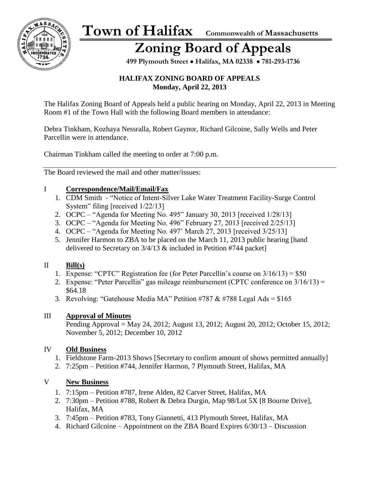

### **Zoning Board of Appeals**

 **499 Plymouth Street** • **Halifax, MA 02338** • **781-293-1736**

#### **HALIFAX ZONING BOARD OF APPEALS Monday, April 22, 2013**

The Halifax Zoning Board of Appeals held a public hearing on Monday, April 22, 2013 in Meeting Room #1 of the Town Hall with the following Board members in attendance:

Debra Tinkham, Kozhaya Nessralla, Robert Gaynor, Richard Gilcoine, Sally Wells and Peter Parcellin were in attendance.

Chairman Tinkham called the meeting to order at 7:00 p.m.

The Board reviewed the mail and other matter/issues:

#### I **Correspondence/Mail/Email/Fax**

- 1. CDM Smith "Notice of Intent-Silver Lake Water Treatment Facility-Surge Control System" filing [received 1/22/13]
- 2. OCPC "Agenda for Meeting No. 495" January 30, 2013 [received 1/28/13]
- 3. OCPC "Agenda for Meeting No. 496" February 27, 2013 [received 2/25/13]
- 4. OCPC "Agenda for Meeting No. 497' March 27, 2013 [received 3/25/13]
- 5. Jennifer Harmon to ZBA to be placed on the March 11, 2013 public hearing [hand delivered to Secretary on 3/4/13 & included in Petition #744 packet]

#### II **Bill(s)**

- 1. Expense: "CPTC" Registration fee (for Peter Parcellin's course on 3/16/13) = \$50
- 2. Expense: "Peter Parcellin" gas mileage reimbursement (CPTC conference on 3/16/13) = \$64.18
- 3. Revolving: "Gatehouse Media MA" Petition #787 & #788 Legal Ads =  $$165$

#### III **Approval of Minutes**

Pending Approval = May 24, 2012; August 13, 2012; August 20, 2012; October 15, 2012; November 5, 2012; December 10, 2012

#### IV **Old Business**

- 1. Fieldstone Farm-2013 Shows [Secretary to confirm amount of shows permitted annually]
- 2. 7:25pm Petition #744, Jennifer Harmon, 7 Plymouth Street, Halifax, MA

#### V **New Business**

- 1. 7:15pm Petition #787, Irene Alden, 82 Carver Street, Halifax, MA
- 2. 7:30pm Petition #788, Robert & Debra Durgin, Map 98/Lot 5X [8 Bourne Drive], Halifax, MA
- 3. 7:45pm Petition #783, Tony Giannetti, 413 Plymouth Street, Halifax, MA
- 4. Richard Gilcoine Appointment on the ZBA Board Expires 6/30/13 Discussion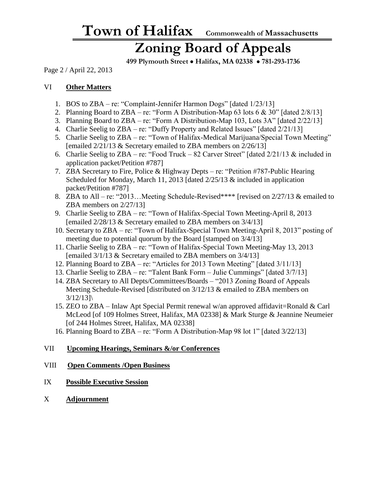### **Zoning Board of Appeals**

 **499 Plymouth Street** • **Halifax, MA 02338** • **781-293-1736**

Page 2 / April 22, 2013

#### VI **Other Matters**

- 1. BOS to ZBA re: "Complaint-Jennifer Harmon Dogs" [dated 1/23/13]
- 2. Planning Board to ZBA re: "Form A Distribution-Map 63 lots  $6 \& 30$ " [dated  $2/8/13$ ]
- 3. Planning Board to ZBA re: "Form A Distribution-Map 103, Lots 3A" [dated 2/22/13]
- 4. Charlie Seelig to ZBA re: "Duffy Property and Related Issues" [dated 2/21/13]
- 5. Charlie Seelig to ZBA re: "Town of Halifax-Medical Marijuana/Special Town Meeting" [emailed 2/21/13 & Secretary emailed to ZBA members on 2/26/13]
- 6. Charlie Seelig to ZBA re: "Food Truck 82 Carver Street" [dated 2/21/13 & included in application packet/Petition #787]
- 7. ZBA Secretary to Fire, Police & Highway Depts re: "Petition #787-Public Hearing Scheduled for Monday, March 11, 2013 [dated  $2/25/13$  & included in application packet/Petition #787]
- 8. ZBA to All re: "2013...Meeting Schedule-Revised\*\*\*\* [revised on 2/27/13 & emailed to ZBA members on 2/27/13]
- 9. Charlie Seelig to ZBA re: "Town of Halifax-Special Town Meeting-April 8, 2013 [emailed 2/28/13 & Secretary emailed to ZBA members on 3/4/13]
- 10. Secretary to ZBA re: "Town of Halifax-Special Town Meeting-April 8, 2013" posting of meeting due to potential quorum by the Board [stamped on 3/4/13]
- 11. Charlie Seelig to ZBA re: "Town of Halifax-Special Town Meeting-May 13, 2013 [emailed 3/1/13 & Secretary emailed to ZBA members on 3/4/13]
- 12. Planning Board to ZBA re: "Articles for 2013 Town Meeting" [dated 3/11/13]
- 13. Charlie Seelig to ZBA re: "Talent Bank Form Julie Cummings" [dated 3/7/13]
- 14. ZBA Secretary to All Depts/Committees/Boards "2013 Zoning Board of Appeals Meeting Schedule-Revised [distributed on 3/12/13 & emailed to ZBA members on  $3/12/13$ ]
- 15. ZEO to ZBA Inlaw Apt Special Permit renewal w/an approved affidavit=Ronald & Carl McLeod [of 109 Holmes Street, Halifax, MA 02338] & Mark Sturge & Jeannine Neumeier [of 244 Holmes Street, Halifax, MA 02338]
- 16. Planning Board to ZBA re: "Form A Distribution-Map 98 lot 1" [dated 3/22/13]

#### VII **Upcoming Hearings, Seminars &/or Conferences**

#### VIII **Open Comments /Open Business**

- IX **Possible Executive Session**
- X **Adjournment**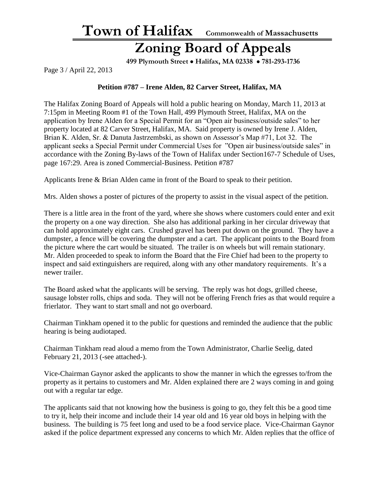#### **Zoning Board of Appeals**

 **499 Plymouth Street** • **Halifax, MA 02338** • **781-293-1736**

Page 3 / April 22, 2013

#### **Petition #787 – Irene Alden, 82 Carver Street, Halifax, MA**

The Halifax Zoning Board of Appeals will hold a public hearing on Monday, March 11, 2013 at 7:15pm in Meeting Room #1 of the Town Hall, 499 Plymouth Street, Halifax, MA on the application by Irene Alden for a Special Permit for an "Open air business/outside sales" to her property located at 82 Carver Street, Halifax, MA. Said property is owned by Irene J. Alden, Brian K. Alden, Sr. & Danuta Jastrzembski, as shown on Assessor's Map #71, Lot 32. The applicant seeks a Special Permit under Commercial Uses for "Open air business/outside sales" in accordance with the Zoning By-laws of the Town of Halifax under Section167-7 Schedule of Uses, page 167:29. Area is zoned Commercial-Business. Petition #787

Applicants Irene & Brian Alden came in front of the Board to speak to their petition.

Mrs. Alden shows a poster of pictures of the property to assist in the visual aspect of the petition.

There is a little area in the front of the yard, where she shows where customers could enter and exit the property on a one way direction. She also has additional parking in her circular driveway that can hold approximately eight cars. Crushed gravel has been put down on the ground. They have a dumpster, a fence will be covering the dumpster and a cart. The applicant points to the Board from the picture where the cart would be situated. The trailer is on wheels but will remain stationary. Mr. Alden proceeded to speak to inform the Board that the Fire Chief had been to the property to inspect and said extinguishers are required, along with any other mandatory requirements. It's a newer trailer.

The Board asked what the applicants will be serving. The reply was hot dogs, grilled cheese, sausage lobster rolls, chips and soda. They will not be offering French fries as that would require a frierlator. They want to start small and not go overboard.

Chairman Tinkham opened it to the public for questions and reminded the audience that the public hearing is being audiotaped.

Chairman Tinkham read aloud a memo from the Town Administrator, Charlie Seelig, dated February 21, 2013 (-see attached-).

Vice-Chairman Gaynor asked the applicants to show the manner in which the egresses to/from the property as it pertains to customers and Mr. Alden explained there are 2 ways coming in and going out with a regular tar edge.

The applicants said that not knowing how the business is going to go, they felt this be a good time to try it, help their income and include their 14 year old and 16 year old boys in helping with the business. The building is 75 feet long and used to be a food service place. Vice-Chairman Gaynor asked if the police department expressed any concerns to which Mr. Alden replies that the office of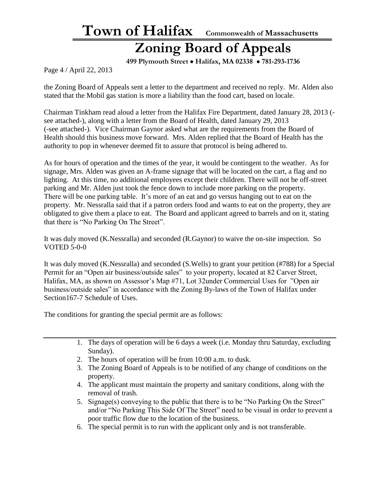### **Zoning Board of Appeals**

 **499 Plymouth Street** • **Halifax, MA 02338** • **781-293-1736**

Page 4 / April 22, 2013

the Zoning Board of Appeals sent a letter to the department and received no reply. Mr. Alden also stated that the Mobil gas station is more a liability than the food cart, based on locale.

Chairman Tinkham read aloud a letter from the Halifax Fire Department, dated January 28, 2013 ( see attached-), along with a letter from the Board of Health, dated January 29, 2013 (-see attached-). Vice Chairman Gaynor asked what are the requirements from the Board of Health should this business move forward. Mrs. Alden replied that the Board of Health has the authority to pop in whenever deemed fit to assure that protocol is being adhered to.

As for hours of operation and the times of the year, it would be contingent to the weather. As for signage, Mrs. Alden was given an A-frame signage that will be located on the cart, a flag and no lighting. At this time, no additional employees except their children. There will not be off-street parking and Mr. Alden just took the fence down to include more parking on the property. There will be one parking table. It's more of an eat and go versus hanging out to eat on the property. Mr. Nessralla said that if a patron orders food and wants to eat on the property, they are obligated to give them a place to eat. The Board and applicant agreed to barrels and on it, stating that there is "No Parking On The Street".

It was duly moved (K.Nessralla) and seconded (R.Gaynor) to waive the on-site inspection. So VOTED 5-0-0

It was duly moved (K.Nessralla) and seconded (S.Wells) to grant your petition (#788) for a Special Permit for an "Open air business/outside sales" to your property, located at 82 Carver Street, Halifax, MA, as shown on Assessor's Map #71, Lot 32under Commercial Uses for "Open air business/outside sales" in accordance with the Zoning By-laws of the Town of Halifax under Section167-7 Schedule of Uses.

The conditions for granting the special permit are as follows:

- 1. The days of operation will be 6 days a week (i.e. Monday thru Saturday, excluding Sunday).
- 2. The hours of operation will be from 10:00 a.m. to dusk.
- 3. The Zoning Board of Appeals is to be notified of any change of conditions on the property.
- 4. The applicant must maintain the property and sanitary conditions, along with the removal of trash.
- 5. Signage(s) conveying to the public that there is to be "No Parking On the Street" and/or "No Parking This Side Of The Street" need to be visual in order to prevent a poor traffic flow due to the location of the business.
- 6. The special permit is to run with the applicant only and is not transferable.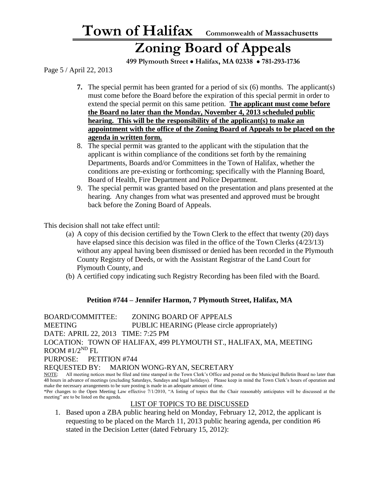### **Zoning Board of Appeals**

 **499 Plymouth Street** • **Halifax, MA 02338** • **781-293-1736**

Page 5 / April 22, 2013

- **7.** The special permit has been granted for a period of six (6) months. The applicant(s) must come before the Board before the expiration of this special permit in order to extend the special permit on this same petition. **The applicant must come before the Board no later than the Monday, November 4, 2013 scheduled public hearing. This will be the responsibility of the applicant(s) to make an appointment with the office of the Zoning Board of Appeals to be placed on the agenda in written form.**
- 8. The special permit was granted to the applicant with the stipulation that the applicant is within compliance of the conditions set forth by the remaining Departments, Boards and/or Committees in the Town of Halifax, whether the conditions are pre-existing or forthcoming; specifically with the Planning Board, Board of Health, Fire Department and Police Department.
- 9. The special permit was granted based on the presentation and plans presented at the hearing. Any changes from what was presented and approved must be brought back before the Zoning Board of Appeals.

This decision shall not take effect until:

- (a) A copy of this decision certified by the Town Clerk to the effect that twenty (20) days have elapsed since this decision was filed in the office of the Town Clerks (4/23/13) without any appeal having been dismissed or denied has been recorded in the Plymouth County Registry of Deeds, or with the Assistant Registrar of the Land Court for Plymouth County, and
- (b) A certified copy indicating such Registry Recording has been filed with the Board.

#### **Petition #744 – Jennifer Harmon, 7 Plymouth Street, Halifax, MA**

BOARD/COMMITTEE: ZONING BOARD OF APPEALS MEETING PUBLIC HEARING (Please circle appropriately) DATE: APRIL 22, 2013 TIME: 7:25 PM LOCATION: TOWN OF HALIFAX, 499 PLYMOUTH ST., HALIFAX, MA, MEETING ROOM  $#1/2<sup>ND</sup> FL$ PURPOSE: PETITION #744 REQUESTED BY: MARION WONG-RYAN, SECRETARY<br>NOTE: All meeting notices must be filed and time stamped in the Town Clerk's Office and po All meeting notices must be filed and time stamped in the Town Clerk's Office and posted on the Municipal Bulletin Board no later than 48 hours in advance of meetings (excluding Saturdays, Sundays and legal holidays). Please keep in mind the Town Clerk's hours of operation and

make the necessary arrangements to be sure posting is made in an adequate amount of time. \*Per changes to the Open Meeting Law effective 7/1/2010, "A listing of topics that the Chair reasonably anticipates will be discussed at the meeting" are to be listed on the agenda.

#### LIST OF TOPICS TO BE DISCUSSED

1. Based upon a ZBA public hearing held on Monday, February 12, 2012, the applicant is requesting to be placed on the March 11, 2013 public hearing agenda, per condition #6 stated in the Decision Letter (dated February 15, 2012):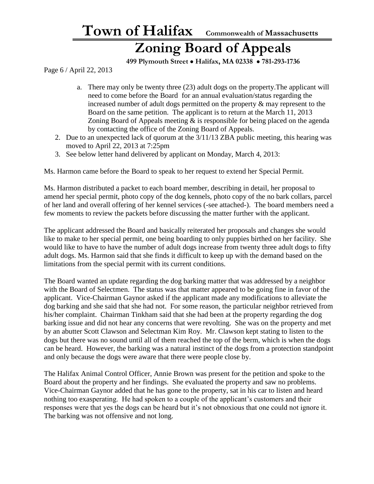#### **Zoning Board of Appeals**

 **499 Plymouth Street** • **Halifax, MA 02338** • **781-293-1736**

Page 6 / April 22, 2013

- a. There may only be twenty three (23) adult dogs on the property.The applicant will need to come before the Board for an annual evaluation/status regarding the increased number of adult dogs permitted on the property & may represent to the Board on the same petition. The applicant is to return at the March 11, 2013 Zoning Board of Appeals meeting  $\&$  is responsible for being placed on the agenda by contacting the office of the Zoning Board of Appeals.
- 2. Due to an unexpected lack of quorum at the 3/11/13 ZBA public meeting, this hearing was moved to April 22, 2013 at 7:25pm
- 3. See below letter hand delivered by applicant on Monday, March 4, 2013:

Ms. Harmon came before the Board to speak to her request to extend her Special Permit.

Ms. Harmon distributed a packet to each board member, describing in detail, her proposal to amend her special permit, photo copy of the dog kennels, photo copy of the no bark collars, parcel of her land and overall offering of her kennel services (-see attached-). The board members need a few moments to review the packets before discussing the matter further with the applicant.

The applicant addressed the Board and basically reiterated her proposals and changes she would like to make to her special permit, one being boarding to only puppies birthed on her facility. She would like to have to have the number of adult dogs increase from twenty three adult dogs to fifty adult dogs. Ms. Harmon said that she finds it difficult to keep up with the demand based on the limitations from the special permit with its current conditions.

The Board wanted an update regarding the dog barking matter that was addressed by a neighbor with the Board of Selectmen. The status was that matter appeared to be going fine in favor of the applicant. Vice-Chairman Gaynor asked if the applicant made any modifications to alleviate the dog barking and she said that she had not. For some reason, the particular neighbor retrieved from his/her complaint. Chairman Tinkham said that she had been at the property regarding the dog barking issue and did not hear any concerns that were revolting. She was on the property and met by an abutter Scott Clawson and Selectman Kim Roy. Mr. Clawson kept stating to listen to the dogs but there was no sound until all of them reached the top of the berm, which is when the dogs can be heard. However, the barking was a natural instinct of the dogs from a protection standpoint and only because the dogs were aware that there were people close by.

The Halifax Animal Control Officer, Annie Brown was present for the petition and spoke to the Board about the property and her findings. She evaluated the property and saw no problems. Vice-Chairman Gaynor added that he has gone to the property, sat in his car to listen and heard nothing too exasperating. He had spoken to a couple of the applicant's customers and their responses were that yes the dogs can be heard but it's not obnoxious that one could not ignore it. The barking was not offensive and not long.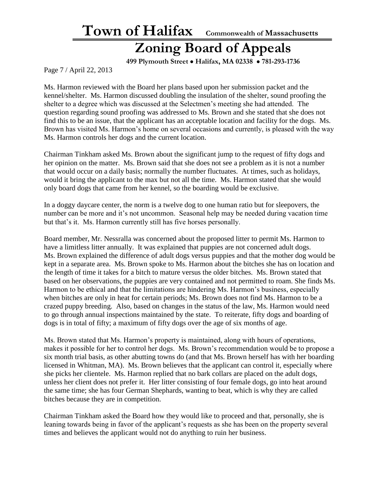### **Zoning Board of Appeals**

 **499 Plymouth Street** • **Halifax, MA 02338** • **781-293-1736**

Page 7 / April 22, 2013

Ms. Harmon reviewed with the Board her plans based upon her submission packet and the kennel/shelter. Ms. Harmon discussed doubling the insulation of the shelter, sound proofing the shelter to a degree which was discussed at the Selectmen's meeting she had attended. The question regarding sound proofing was addressed to Ms. Brown and she stated that she does not find this to be an issue, that the applicant has an acceptable location and facility for the dogs. Ms. Brown has visited Ms. Harmon's home on several occasions and currently, is pleased with the way Ms. Harmon controls her dogs and the current location.

Chairman Tinkham asked Ms. Brown about the significant jump to the request of fifty dogs and her opinion on the matter. Ms. Brown said that she does not see a problem as it is not a number that would occur on a daily basis; normally the number fluctuates. At times, such as holidays, would it bring the applicant to the max but not all the time. Ms. Harmon stated that she would only board dogs that came from her kennel, so the boarding would be exclusive.

In a doggy daycare center, the norm is a twelve dog to one human ratio but for sleepovers, the number can be more and it's not uncommon. Seasonal help may be needed during vacation time but that's it. Ms. Harmon currently still has five horses personally.

Board member, Mr. Nessralla was concerned about the proposed litter to permit Ms. Harmon to have a limitless litter annually. It was explained that puppies are not concerned adult dogs. Ms. Brown explained the difference of adult dogs versus puppies and that the mother dog would be kept in a separate area. Ms. Brown spoke to Ms. Harmon about the bitches she has on location and the length of time it takes for a bitch to mature versus the older bitches. Ms. Brown stated that based on her observations, the puppies are very contained and not permitted to roam. She finds Ms. Harmon to be ethical and that the limitations are hindering Ms. Harmon's business, especially when bitches are only in heat for certain periods; Ms. Brown does not find Ms. Harmon to be a crazed puppy breeding. Also, based on changes in the status of the law, Ms. Harmon would need to go through annual inspections maintained by the state. To reiterate, fifty dogs and boarding of dogs is in total of fifty; a maximum of fifty dogs over the age of six months of age.

Ms. Brown stated that Ms. Harmon's property is maintained, along with hours of operations, makes it possible for her to control her dogs. Ms. Brown's recommendation would be to propose a six month trial basis, as other abutting towns do (and that Ms. Brown herself has with her boarding licensed in Whitman, MA). Ms. Brown believes that the applicant can control it, especially where she picks her clientele. Ms. Harmon replied that no bark collars are placed on the adult dogs, unless her client does not prefer it. Her litter consisting of four female dogs, go into heat around the same time; she has four German Shephards, wanting to beat, which is why they are called bitches because they are in competition.

Chairman Tinkham asked the Board how they would like to proceed and that, personally, she is leaning towards being in favor of the applicant's requests as she has been on the property several times and believes the applicant would not do anything to ruin her business.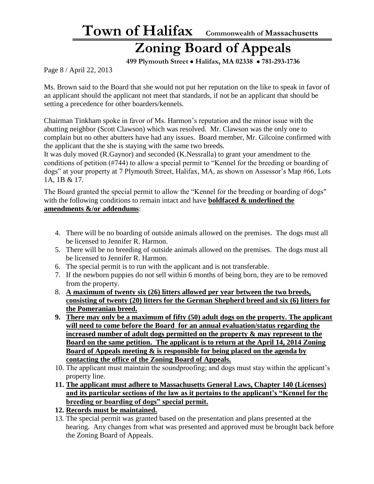### **Zoning Board of Appeals**

 **499 Plymouth Street** • **Halifax, MA 02338** • **781-293-1736**

Page 8 / April 22, 2013

Ms. Brown said to the Board that she would not put her reputation on the like to speak in favor of an applicant should the applicant not meet that standards, if not be an applicant that should be setting a precedence for other boarders/kennels.

Chairman Tinkham spoke in favor of Ms. Harmon's reputation and the minor issue with the abutting neighbor (Scott Clawson) which was resolved. Mr. Clawson was the only one to complain but no other abutters have had any issues. Board member, Mr. Gilcoine confirmed with the applicant that the she is staying with the same two breeds.

It was duly moved (R.Gaynor) and seconded (K.Nessralla) to grant your amendment to the conditions of petition (#744) to allow a special permit to "Kennel for the breeding or boarding of dogs" at your property at 7 Plymouth Street, Halifax, MA, as shown on Assessor's Map #66, Lots 1A, 1B & 17.

The Board granted the special permit to allow the "Kennel for the breeding or boarding of dogs" with the following conditions to remain intact and have **boldfaced & underlined the amendments &/or addendums**:

- 4. There will be no boarding of outside animals allowed on the premises. The dogs must all be licensed to Jennifer R. Harmon.
- 5. There will be no breeding of outside animals allowed on the premises. The dogs must all be licensed to Jennifer R. Harmon.
- 6. The special permit is to run with the applicant and is not transferable.
- 7. If the newborn puppies do not sell within 6 months of being born, they are to be removed from the property.
- 8. **A maximum of twenty six (26) litters allowed per year between the two breeds, consisting of twenty (20) litters for the German Shepherd breed and six (6) litters for the Pomeranian breed.**
- **9. There may only be a maximum of fifty (50) adult dogs on the property. The applicant will need to come before the Board for an annual evaluation/status regarding the increased number of adult dogs permitted on the property & may represent to the Board on the same petition. The applicant is to return at the April 14, 2014 Zoning Board of Appeals meeting & is responsible for being placed on the agenda by contacting the office of the Zoning Board of Appeals.**
- 10. The applicant must maintain the soundproofing; and dogs must stay within the applicant's property line.
- **11. The applicant must adhere to Massachusetts General Laws, Chapter 140 (Licenses) and its particular sections of the law as it pertains to the applicant's "Kennel for the breeding or boarding of dogs" special permit.**
- **12. Records must be maintained.**
- 13. The special permit was granted based on the presentation and plans presented at the hearing. Any changes from what was presented and approved must be brought back before the Zoning Board of Appeals.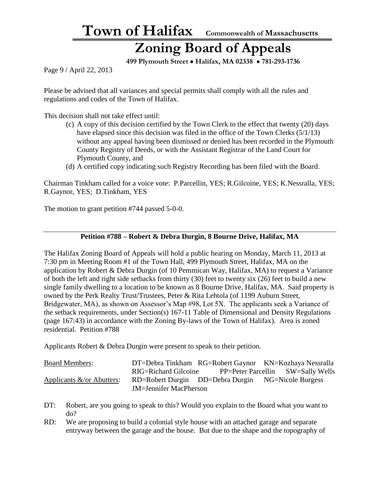### **Zoning Board of Appeals**

 **499 Plymouth Street** • **Halifax, MA 02338** • **781-293-1736**

Page 9 / April 22, 2013

Please be advised that all variances and special permits shall comply with all the rules and regulations and codes of the Town of Halifax.

This decision shall not take effect until:

- (c) A copy of this decision certified by the Town Clerk to the effect that twenty (20) days have elapsed since this decision was filed in the office of the Town Clerks (5/1/13) without any appeal having been dismissed or denied has been recorded in the Plymouth County Registry of Deeds, or with the Assistant Registrar of the Land Court for Plymouth County, and
- (d) A certified copy indicating such Registry Recording has been filed with the Board.

Chairman Tinkham called for a voice vote: P.Parcellin, YES; R.Gilcoine, YES; K.Nessralla, YES; R.Gaynor, YES; D.Tinkham, YES

The motion to grant petition #744 passed 5-0-0.

#### **Petition #788 – Robert & Debra Durgin, 8 Bourne Drive, Halifax, MA**

The Halifax Zoning Board of Appeals will hold a public hearing on Monday, March 11, 2013 at 7:30 pm in Meeting Room #1 of the Town Hall, 499 Plymouth Street, Halifax, MA on the application by Robert & Debra Durgin (of 10 Pemmican Way, Halifax, MA) to request a Variance of both the left and right side setbacks from thirty (30) feet to twenty six (26) feet to build a new single family dwelling to a location to be known as 8 Bourne Drive, Halifax, MA. Said property is owned by the Perk Realty Trust/Trustees, Peter & Rita Lehtola (of 1199 Auburn Street, Bridgewater, MA), as shown on Assessor's Map #98, Lot 5X. The applicants seek a Variance of the setback requirements, under Section(s) 167-11 Table of Dimensional and Density Regulations (page 167:43) in accordance with the Zoning By-laws of the Town of Halifax). Area is zoned residential. Petition #788

Applicants Robert & Debra Durgin were present to speak to their petition.

| <b>Board Members:</b>         |                               |  | DT=Debra Tinkham RG=Robert Gaynor KN=Kozhaya Nessralla |  |
|-------------------------------|-------------------------------|--|--------------------------------------------------------|--|
|                               | RIG=Richard Gilcoine          |  | PP=Peter Parcellin SW=Sally Wells                      |  |
| Applicants $\&$ /or Abutters: |                               |  | RD=Robert Durgin DD=Debra Durgin NG=Nicole Burgess     |  |
|                               | <b>JM=Jennifer MacPherson</b> |  |                                                        |  |

- DT: Robert, are you going to speak to this? Would you explain to the Board what you want to do?
- RD: We are proposing to build a colonial style house with an attached garage and separate entryway between the garage and the house. But due to the shape and the topography of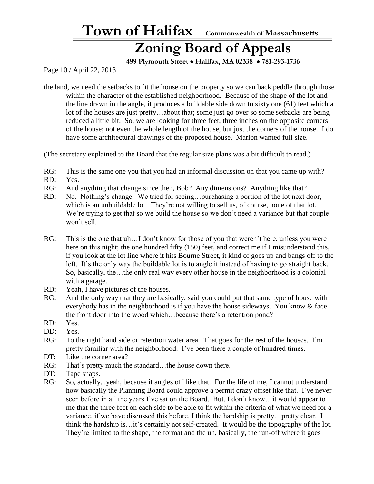### **Zoning Board of Appeals**

 **499 Plymouth Street** • **Halifax, MA 02338** • **781-293-1736**

Page 10 / April 22, 2013

the land, we need the setbacks to fit the house on the property so we can back peddle through those within the character of the established neighborhood. Because of the shape of the lot and the line drawn in the angle, it produces a buildable side down to sixty one (61) feet which a lot of the houses are just pretty…about that; some just go over so some setbacks are being reduced a little bit. So, we are looking for three feet, three inches on the opposite corners of the house; not even the whole length of the house, but just the corners of the house. I do have some architectural drawings of the proposed house. Marion wanted full size.

(The secretary explained to the Board that the regular size plans was a bit difficult to read.)

- RG: This is the same one you that you had an informal discussion on that you came up with?
- RD: Yes.
- RG: And anything that change since then, Bob? Any dimensions? Anything like that?
- RD: No. Nothing's change. We tried for seeing...purchasing a portion of the lot next door, which is an unbuildable lot. They're not willing to sell us, of course, none of that lot. We're trying to get that so we build the house so we don't need a variance but that couple won't sell.
- RG: This is the one that uh...I don't know for those of you that weren't here, unless you were here on this night; the one hundred fifty (150) feet, and correct me if I misunderstand this, if you look at the lot line where it hits Bourne Street, it kind of goes up and bangs off to the left. It's the only way the buildable lot is to angle it instead of having to go straight back. So, basically, the…the only real way every other house in the neighborhood is a colonial with a garage.
- RD: Yeah, I have pictures of the houses.
- RG: And the only way that they are basically, said you could put that same type of house with everybody has in the neighborhood is if you have the house sideways. You know & face the front door into the wood which…because there's a retention pond?
- RD: Yes.
- DD: Yes.
- RG: To the right hand side or retention water area. That goes for the rest of the houses. I'm pretty familiar with the neighborhood. I've been there a couple of hundred times.
- DT: Like the corner area?
- RG: That's pretty much the standard...the house down there.
- DT: Tape snaps.
- RG: So, actually...yeah, because it angles off like that. For the life of me, I cannot understand how basically the Planning Board could approve a permit crazy offset like that. I've never seen before in all the years I've sat on the Board. But, I don't know…it would appear to me that the three feet on each side to be able to fit within the criteria of what we need for a variance, if we have discussed this before, I think the hardship is pretty…pretty clear. I think the hardship is…it's certainly not self-created. It would be the topography of the lot. They're limited to the shape, the format and the uh, basically, the run-off where it goes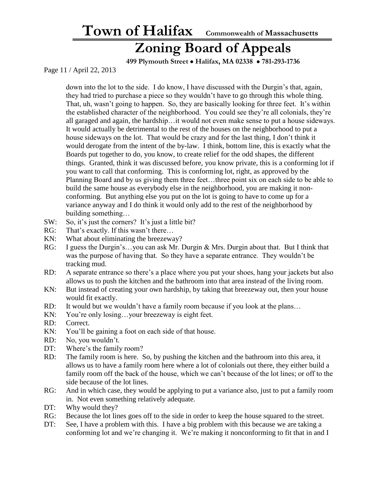#### **Zoning Board of Appeals**

 **499 Plymouth Street** • **Halifax, MA 02338** • **781-293-1736**

Page 11 / April 22, 2013

down into the lot to the side. I do know, I have discussed with the Durgin's that, again, they had tried to purchase a piece so they wouldn't have to go through this whole thing. That, uh, wasn't going to happen. So, they are basically looking for three feet. It's within the established character of the neighborhood. You could see they're all colonials, they're all garaged and again, the hardship…it would not even make sense to put a house sideways. It would actually be detrimental to the rest of the houses on the neighborhood to put a house sideways on the lot. That would be crazy and for the last thing, I don't think it would derogate from the intent of the by-law. I think, bottom line, this is exactly what the Boards put together to do, you know, to create relief for the odd shapes, the different things. Granted, think it was discussed before, you know private, this is a conforming lot if you want to call that conforming. This is conforming lot, right, as approved by the Planning Board and by us giving them three feet…three point six on each side to be able to build the same house as everybody else in the neighborhood, you are making it nonconforming. But anything else you put on the lot is going to have to come up for a variance anyway and I do think it would only add to the rest of the neighborhood by building something…

- SW: So, it's just the corners? It's just a little bit?
- RG: That's exactly. If this wasn't there...
- KN: What about eliminating the breezeway?
- RG: I guess the Durgin's…you can ask Mr. Durgin & Mrs. Durgin about that. But I think that was the purpose of having that. So they have a separate entrance. They wouldn't be tracking mud.
- RD: A separate entrance so there's a place where you put your shoes, hang your jackets but also allows us to push the kitchen and the bathroom into that area instead of the living room.
- KN: But instead of creating your own hardship, by taking that breezeway out, then your house would fit exactly.
- RD: It would but we wouldn't have a family room because if you look at the plans...
- KN: You're only losing...your breezeway is eight feet.
- RD: Correct.
- KN: You'll be gaining a foot on each side of that house.
- RD: No, you wouldn't.
- DT: Where's the family room?
- RD: The family room is here. So, by pushing the kitchen and the bathroom into this area, it allows us to have a family room here where a lot of colonials out there, they either build a family room off the back of the house, which we can't because of the lot lines; or off to the side because of the lot lines.
- RG: And in which case, they would be applying to put a variance also, just to put a family room in. Not even something relatively adequate.
- DT: Why would they?
- RG: Because the lot lines goes off to the side in order to keep the house squared to the street.
- DT: See, I have a problem with this. I have a big problem with this because we are taking a conforming lot and we're changing it. We're making it nonconforming to fit that in and I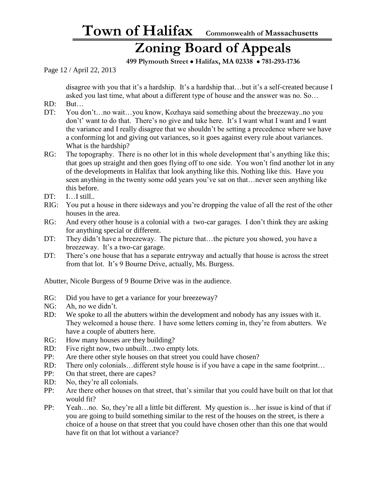### **Zoning Board of Appeals**

 **499 Plymouth Street** • **Halifax, MA 02338** • **781-293-1736**

Page 12 / April 22, 2013

disagree with you that it's a hardship. It's a hardship that…but it's a self-created because I asked you last time, what about a different type of house and the answer was no. So…

- RD: But…
- DT: You don't…no wait…you know, Kozhaya said something about the breezeway..no you don't' want to do that. There's no give and take here. It's I want what I want and I want the variance and I really disagree that we shouldn't be setting a precedence where we have a conforming lot and giving out variances, so it goes against every rule about variances. What is the hardship?
- RG: The topography. There is no other lot in this whole development that's anything like this; that goes up straight and then goes flying off to one side. You won't find another lot in any of the developments in Halifax that look anything like this. Nothing like this. Have you seen anything in the twenty some odd years you've sat on that…never seen anything like this before.
- DT: I…I still..
- RIG: You put a house in there sideways and you're dropping the value of all the rest of the other houses in the area.
- RG: And every other house is a colonial with a two-car garages. I don't think they are asking for anything special or different.
- DT: They didn't have a breezeway. The picture that...the picture you showed, you have a breezeway. It's a two-car garage.
- DT: There's one house that has a separate entryway and actually that house is across the street from that lot. It's 9 Bourne Drive, actually, Ms. Burgess.

Abutter, Nicole Burgess of 9 Bourne Drive was in the audience.

- RG: Did you have to get a variance for your breezeway?
- NG: Ah, no we didn't.
- RD: We spoke to all the abutters within the development and nobody has any issues with it. They welcomed a house there. I have some letters coming in, they're from abutters. We have a couple of abutters here.
- RG: How many houses are they building?
- RD: Five right now, two unbuilt...two empty lots.
- PP: Are there other style houses on that street you could have chosen?
- RD: There only colonials... different style house is if you have a cape in the same footprint...
- PP: On that street, there are capes?
- RD: No, they're all colonials.
- PP: Are there other houses on that street, that's similar that you could have built on that lot that would fit?
- PP: Yeah…no. So, they're all a little bit different. My question is…her issue is kind of that if you are going to build something similar to the rest of the houses on the street, is there a choice of a house on that street that you could have chosen other than this one that would have fit on that lot without a variance?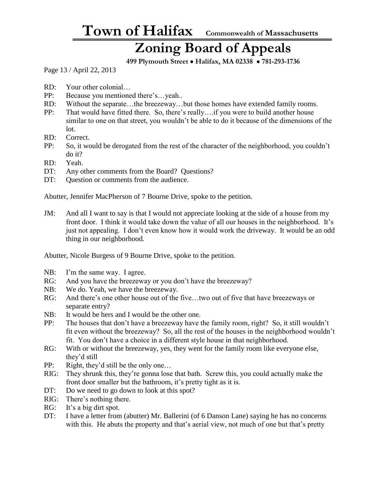#### **Zoning Board of Appeals**

 **499 Plymouth Street** • **Halifax, MA 02338** • **781-293-1736**

Page 13 / April 22, 2013

- RD: Your other colonial…
- PP: Because you mentioned there's…yeah..
- RD: Without the separate…the breezeway…but those homes have extended family rooms.
- PP: That would have fitted there. So, there's really….if you were to build another house similar to one on that street, you wouldn't be able to do it because of the dimensions of the lot.
- RD: Correct.
- PP: So, it would be derogated from the rest of the character of the neighborhood, you couldn't do it?
- RD: Yeah.
- DT: Any other comments from the Board? Questions?
- DT: Ouestion or comments from the audience.

Abutter, Jennifer MacPherson of 7 Bourne Drive, spoke to the petition.

JM: And all I want to say is that I would not appreciate looking at the side of a house from my front door. I think it would take down the value of all our houses in the neighborhood. It's just not appealing. I don't even know how it would work the driveway. It would be an odd thing in our neighborhood.

Abutter, Nicole Burgess of 9 Bourne Drive, spoke to the petition.

- NB: I'm the same way. I agree.
- RG: And you have the breezeway or you don't have the breezeway?
- NB: We do. Yeah, we have the breezeway.
- RG: And there's one other house out of the five...two out of five that have breezeways or separate entry?
- NB: It would be hers and I would be the other one.
- PP: The houses that don't have a breezeway have the family room, right? So, it still wouldn't fit even without the breezeway? So, all the rest of the houses in the neighborhood wouldn't fit. You don't have a choice in a different style house in that neighborhood.
- RG: With or without the breezeway, yes, they went for the family room like everyone else, they'd still
- PP: Right, they'd still be the only one…
- RIG: They shrunk this, they're gonna lose that bath. Screw this, you could actually make the front door smaller but the bathroom, it's pretty tight as it is.
- DT: Do we need to go down to look at this spot?
- RIG: There's nothing there.
- RG: It's a big dirt spot.
- DT: I have a letter from (abutter) Mr. Ballerini (of 6 Danson Lane) saying he has no concerns with this. He abuts the property and that's aerial view, not much of one but that's pretty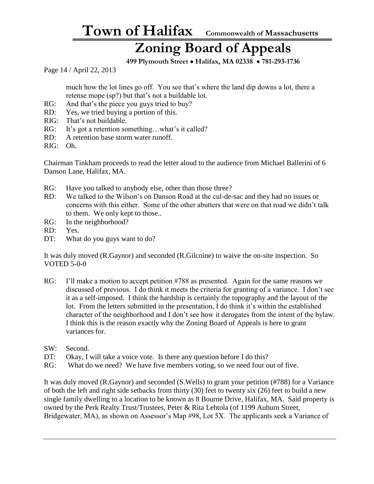### **Zoning Board of Appeals**

 **499 Plymouth Street** • **Halifax, MA 02338** • **781-293-1736**

Page 14 / April 22, 2013

much how the lot lines go off. You see that's where the land dip downs a lot, there a retense mope (sp?) but that's not a buildable lot.

- RG: And that's the piece you guys tried to buy?
- RD: Yes, we tried buying a portion of this.
- RIG: That's not buildable.
- RG: It's got a retention something...what's it called?
- RD: A retention base storm water runoff.
- RIG: Oh.

Chairman Tinkham proceeds to read the letter aloud to the audience from Michael Ballerini of 6 Danson Lane, Halifax, MA.

- RG: Have you talked to anybody else, other than those three?
- RD: We talked to the Wilson's on Danson Road at the cul-de-sac and they had no issues or concerns with this either. Some of the other abutters that were on that road we didn't talk to them. We only kept to those..
- RG: In the neighborhood?
- RD: Yes.
- DT: What do you guys want to do?

It was duly moved (R.Gaynor) and seconded (R.Gilcoine) to waive the on-site inspection. So VOTED 5-0-0

- RG: I'll make a motion to accept petition #788 as presented. Again for the same reasons we discussed of previous. I do think it meets the criteria for granting of a variance. I don't see it as a self-imposed. I think the hardship is certainly the topography and the layout of the lot. From the letters submitted in the presentation, I do think it's within the established character of the neighborhood and I don't see how it derogates from the intent of the bylaw. I think this is the reason exactly why the Zoning Board of Appeals is here to grant variances for.
- SW: Second.
- DT: Okay, I will take a voice vote. Is there any question before I do this?
- RG: What do we need? We have five members voting, so we need four out of five.

It was duly moved (R.Gaynor) and seconded (S.Wells) to grant your petition (#788) for a Variance of both the left and right side setbacks from thirty (30) feet to twenty six (26) feet to build a new single family dwelling to a location to be known as 8 Bourne Drive, Halifax, MA. Said property is owned by the Perk Realty Trust/Trustees, Peter & Rita Lehtola (of 1199 Auburn Street, Bridgewater, MA), as shown on Assessor's Map #98, Lot 5X. The applicants seek a Variance of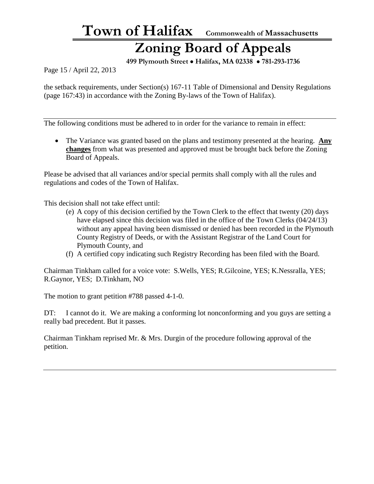### **Zoning Board of Appeals**

 **499 Plymouth Street** • **Halifax, MA 02338** • **781-293-1736**

Page 15 / April 22, 2013

the setback requirements, under Section(s) 167-11 Table of Dimensional and Density Regulations (page 167:43) in accordance with the Zoning By-laws of the Town of Halifax).

The following conditions must be adhered to in order for the variance to remain in effect:

• The Variance was granted based on the plans and testimony presented at the hearing. **Any changes** from what was presented and approved must be brought back before the Zoning Board of Appeals.

Please be advised that all variances and/or special permits shall comply with all the rules and regulations and codes of the Town of Halifax.

This decision shall not take effect until:

- (e) A copy of this decision certified by the Town Clerk to the effect that twenty (20) days have elapsed since this decision was filed in the office of the Town Clerks (04/24/13) without any appeal having been dismissed or denied has been recorded in the Plymouth County Registry of Deeds, or with the Assistant Registrar of the Land Court for Plymouth County, and
- (f) A certified copy indicating such Registry Recording has been filed with the Board.

Chairman Tinkham called for a voice vote: S.Wells, YES; R.Gilcoine, YES; K.Nessralla, YES; R.Gaynor, YES; D.Tinkham, NO

The motion to grant petition #788 passed 4-1-0.

DT: I cannot do it. We are making a conforming lot nonconforming and you guys are setting a really bad precedent. But it passes.

Chairman Tinkham reprised Mr. & Mrs. Durgin of the procedure following approval of the petition.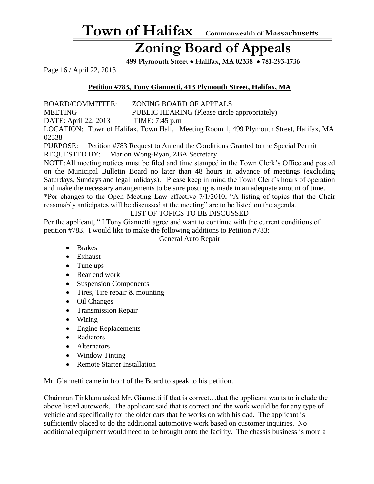### **Zoning Board of Appeals**

 **499 Plymouth Street** • **Halifax, MA 02338** • **781-293-1736**

Page 16 / April 22, 2013

#### **Petition #783, Tony Giannetti, 413 Plymouth Street, Halifax, MA**

BOARD/COMMITTEE: ZONING BOARD OF APPEALS

MEETING PUBLIC HEARING (Please circle appropriately)

DATE: April 22, 2013 TIME: 7:45 p.m

LOCATION: Town of Halifax, Town Hall, Meeting Room 1, 499 Plymouth Street, Halifax, MA 02338

PURPOSE: Petition #783 Request to Amend the Conditions Granted to the Special Permit REQUESTED BY: Marion Wong-Ryan, ZBA Secretary

NOTE:All meeting notices must be filed and time stamped in the Town Clerk's Office and posted on the Municipal Bulletin Board no later than 48 hours in advance of meetings (excluding Saturdays, Sundays and legal holidays). Please keep in mind the Town Clerk's hours of operation and make the necessary arrangements to be sure posting is made in an adequate amount of time.

\*Per changes to the Open Meeting Law effective 7/1/2010, "A listing of topics that the Chair reasonably anticipates will be discussed at the meeting" are to be listed on the agenda.

#### LIST OF TOPICS TO BE DISCUSSED

Per the applicant, " I Tony Giannetti agree and want to continue with the current conditions of petition #783. I would like to make the following additions to Petition #783:

General Auto Repair

- Brakes
- Exhaust
- Tune ups
- Rear end work
- Suspension Components
- Tires, Tire repair & mounting
- Oil Changes
- Transmission Repair
- Wiring
- Engine Replacements
- Radiators
- Alternators
- Window Tinting
- Remote Starter Installation

Mr. Giannetti came in front of the Board to speak to his petition.

Chairman Tinkham asked Mr. Giannetti if that is correct…that the applicant wants to include the above listed autowork. The applicant said that is correct and the work would be for any type of vehicle and specifically for the older cars that he works on with his dad. The applicant is sufficiently placed to do the additional automotive work based on customer inquiries. No additional equipment would need to be brought onto the facility. The chassis business is more a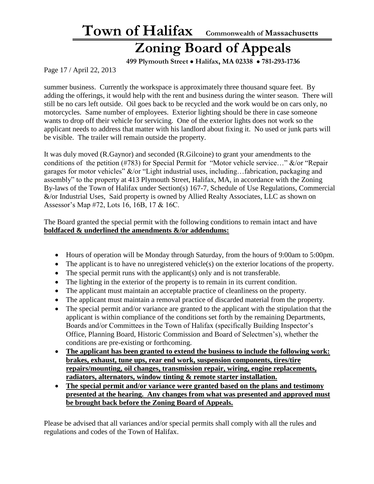### **Zoning Board of Appeals**

 **499 Plymouth Street** • **Halifax, MA 02338** • **781-293-1736**

Page 17 / April 22, 2013

summer business. Currently the workspace is approximately three thousand square feet. By adding the offerings, it would help with the rent and business during the winter season. There will still be no cars left outside. Oil goes back to be recycled and the work would be on cars only, no motorcycles. Same number of employees. Exterior lighting should be there in case someone wants to drop off their vehicle for servicing. One of the exterior lights does not work so the applicant needs to address that matter with his landlord about fixing it. No used or junk parts will be visible. The trailer will remain outside the property.

It was duly moved (R.Gaynor) and seconded (R.Gilcoine) to grant your amendments to the conditions of the petition (#783) for Special Permit for "Motor vehicle service…" &/or "Repair garages for motor vehicles" &/or "Light industrial uses, including…fabrication, packaging and assembly" to the property at 413 Plymouth Street, Halifax, MA, in accordance with the Zoning By-laws of the Town of Halifax under Section(s) 167-7, Schedule of Use Regulations, Commercial &/or Industrial Uses, Said property is owned by Allied Realty Associates, LLC as shown on Assessor's Map #72, Lots 16, 16B, 17 & 16C.

The Board granted the special permit with the following conditions to remain intact and have **boldfaced & underlined the amendments &/or addendums:**

- Hours of operation will be Monday through Saturday, from the hours of 9:00am to 5:00pm.
- The applicant is to have no unregistered vehicle(s) on the exterior locations of the property.
- The special permit runs with the applicant(s) only and is not transferable.
- The lighting in the exterior of the property is to remain in its current condition.
- The applicant must maintain an acceptable practice of cleanliness on the property.
- The applicant must maintain a removal practice of discarded material from the property.
- The special permit and/or variance are granted to the applicant with the stipulation that the applicant is within compliance of the conditions set forth by the remaining Departments, Boards and/or Committees in the Town of Halifax (specifically Building Inspector's Office, Planning Board, Historic Commission and Board of Selectmen's), whether the conditions are pre-existing or forthcoming.
- **The applicant has been granted to extend the business to include the following work: brakes, exhaust, tune ups, rear end work, suspension components, tires/tire repairs/mounting, oil changes, transmission repair, wiring, engine replacements, radiators, alternators, window tinting & remote starter installation.**
- **The special permit and/or variance were granted based on the plans and testimony presented at the hearing. Any changes from what was presented and approved must be brought back before the Zoning Board of Appeals.**

Please be advised that all variances and/or special permits shall comply with all the rules and regulations and codes of the Town of Halifax.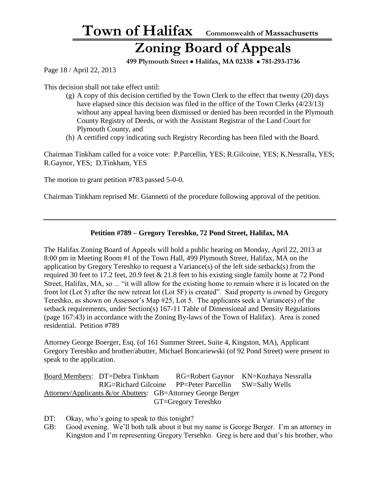#### **Zoning Board of Appeals**

 **499 Plymouth Street** • **Halifax, MA 02338** • **781-293-1736**

Page 18 / April 22, 2013

This decision shall not take effect until:

- $(g)$  A copy of this decision certified by the Town Clerk to the effect that twenty (20) days have elapsed since this decision was filed in the office of the Town Clerks (4/23/13) without any appeal having been dismissed or denied has been recorded in the Plymouth County Registry of Deeds, or with the Assistant Registrar of the Land Court for Plymouth County, and
- (h) A certified copy indicating such Registry Recording has been filed with the Board.

Chairman Tinkham called for a voice vote: P.Parcellin, YES; R.Gilcoine, YES; K.Nessralla, YES; R.Gaynor, YES; D.Tinkham, YES

The motion to grant petition #783 passed 5-0-0.

Chairman Tinkham reprised Mr. Giannetti of the procedure following approval of the petition.

#### **Petition #789 – Gregory Tereshko, 72 Pond Street, Halifax, MA**

The Halifax Zoning Board of Appeals will hold a public hearing on Monday, April 22, 2013 at 8:00 pm in Meeting Room #1 of the Town Hall, 499 Plymouth Street, Halifax, MA on the application by Gregory Tereshko to request a Variance(s) of the left side setback(s) from the required 30 feet to 17.2 feet, 20.9 feet & 21.8 feet to his existing single family home at 72 Pond Street, Halifax, MA, so ... "it will allow for the existing home to remain where it is located on the front lot (Lot 5) after the new retreat lot (Lot 5F) is created". Said property is owned by Gregory Tereshko, as shown on Assessor's Map #25, Lot 5. The applicants seek a Variance(s) of the setback requirements, under Section(s) 167-11 Table of Dimensional and Density Regulations (page 167:43) in accordance with the Zoning By-laws of the Town of Halifax). Area is zoned residential. Petition #789

Attorney George Boerger, Esq. (of 161 Summer Street, Suite 4, Kingston, MA), Applicant Gregory Tereshko and brother/abutter, Michael Boncariewski (of 92 Pond Street) were present to speak to the application.

|                                                              | Board Members: DT=Debra Tinkham |  |                                                        | RG=Robert Gaynor KN=Kozhaya Nessralla |
|--------------------------------------------------------------|---------------------------------|--|--------------------------------------------------------|---------------------------------------|
|                                                              |                                 |  | RIG=Richard Gilcoine PP=Peter Parcellin SW=Sally Wells |                                       |
| Attorney/Applicants &/or Abutters: GB=Attorney George Berger |                                 |  |                                                        |                                       |
| GT=Gregory Tereshko                                          |                                 |  |                                                        |                                       |

- DT: Okay, who's going to speak to this tonight?
- GB: Good evening. We'll both talk about it but my name is George Berger. I'm an attorney in Kingston and I'm representing Gregory Tersehko. Greg is here and that's his brother, who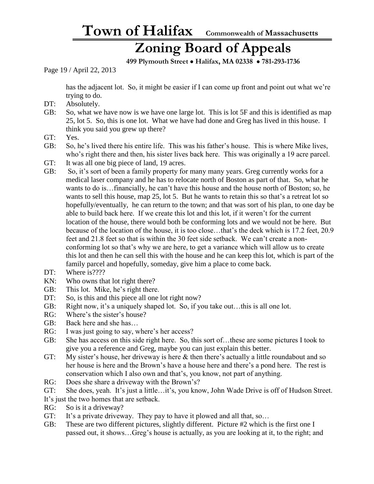### **Zoning Board of Appeals**

 **499 Plymouth Street** • **Halifax, MA 02338** • **781-293-1736**

Page 19 / April 22, 2013

has the adjacent lot. So, it might be easier if I can come up front and point out what we're trying to do.

- DT: Absolutely.
- GB: So, what we have now is we have one large lot. This is lot 5F and this is identified as map 25, lot 5. So, this is one lot. What we have had done and Greg has lived in this house. I think you said you grew up there?
- GT: Yes.
- GB: So, he's lived there his entire life. This was his father's house. This is where Mike lives, who's right there and then, his sister lives back here. This was originally a 19 acre parcel.
- GT: It was all one big piece of land, 19 acres.
- GB: So, it's sort of been a family property for many many years. Greg currently works for a medical laser company and he has to relocate north of Boston as part of that. So, what he wants to do is…financially, he can't have this house and the house north of Boston; so, he wants to sell this house, map 25, lot 5. But he wants to retain this so that's a retreat lot so hopefully/eventually, he can return to the town; and that was sort of his plan, to one day be able to build back here. If we create this lot and this lot, if it weren't for the current location of the house, there would both be conforming lots and we would not be here. But because of the location of the house, it is too close…that's the deck which is 17.2 feet, 20.9 feet and 21.8 feet so that is within the 30 feet side setback. We can't create a nonconforming lot so that's why we are here, to get a variance which will allow us to create this lot and then he can sell this with the house and he can keep this lot, which is part of the family parcel and hopefully, someday, give him a place to come back.
- DT: Where is????
- KN: Who owns that lot right there?
- GB: This lot. Mike, he's right there.
- DT: So, is this and this piece all one lot right now?
- GB: Right now, it's a uniquely shaped lot. So, if you take out...this is all one lot.
- RG: Where's the sister's house?
- GB: Back here and she has…
- RG: I was just going to say, where's her access?
- GB: She has access on this side right here. So, this sort of…these are some pictures I took to give you a reference and Greg, maybe you can just explain this better.
- GT: My sister's house, her driveway is here & then there's actually a little roundabout and so her house is here and the Brown's have a house here and there's a pond here. The rest is conservation which I also own and that's, you know, not part of anything.
- RG: Does she share a driveway with the Brown's?
- GT: She does, yeah. It's just a little…it's, you know, John Wade Drive is off of Hudson Street.
- It's just the two homes that are setback.
- RG: So is it a driveway?
- GT: It's a private driveway. They pay to have it plowed and all that, so...
- GB: These are two different pictures, slightly different. Picture #2 which is the first one I passed out, it shows…Greg's house is actually, as you are looking at it, to the right; and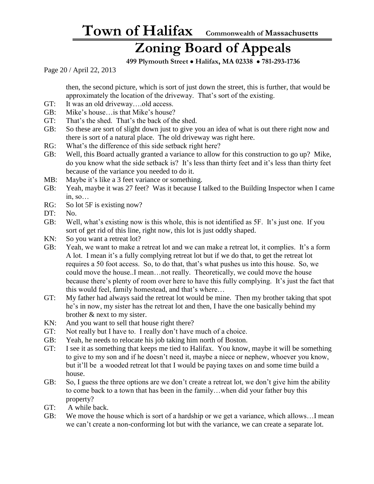### **Zoning Board of Appeals**

 **499 Plymouth Street** • **Halifax, MA 02338** • **781-293-1736**

Page 20 / April 22, 2013

then, the second picture, which is sort of just down the street, this is further, that would be approximately the location of the driveway. That's sort of the existing.

- GT: It was an old driveway….old access.
- GB: Mike's house…is that Mike's house?
- GT: That's the shed. That's the back of the shed.
- GB: So these are sort of slight down just to give you an idea of what is out there right now and there is sort of a natural place. The old driveway was right here.
- RG: What's the difference of this side setback right here?
- GB: Well, this Board actually granted a variance to allow for this construction to go up? Mike, do you know what the side setback is? It's less than thirty feet and it's less than thirty feet because of the variance you needed to do it.
- MB: Maybe it's like a 3 feet variance or something.
- GB: Yeah, maybe it was 27 feet? Was it because I talked to the Building Inspector when I came in, so…
- RG: So lot 5F is existing now?
- DT: No.
- GB: Well, what's existing now is this whole, this is not identified as 5F. It's just one. If you sort of get rid of this line, right now, this lot is just oddly shaped.
- KN: So you want a retreat lot?
- GB: Yeah, we want to make a retreat lot and we can make a retreat lot, it complies. It's a form A lot. I mean it's a fully complying retreat lot but if we do that, to get the retreat lot requires a 50 foot access. So, to do that, that's what pushes us into this house. So, we could move the house..I mean…not really. Theoretically, we could move the house because there's plenty of room over here to have this fully complying. It's just the fact that this would feel, family homestead, and that's where…
- GT: My father had always said the retreat lot would be mine. Then my brother taking that spot he's in now, my sister has the retreat lot and then, I have the one basically behind my brother & next to my sister.
- KN: And you want to sell that house right there?
- GT: Not really but I have to. I really don't have much of a choice.
- GB: Yeah, he needs to relocate his job taking him north of Boston.
- GT: I see it as something that keeps me tied to Halifax. You know, maybe it will be something to give to my son and if he doesn't need it, maybe a niece or nephew, whoever you know, but it'll be a wooded retreat lot that I would be paying taxes on and some time build a house.
- GB: So, I guess the three options are we don't create a retreat lot, we don't give him the ability to come back to a town that has been in the family…when did your father buy this property?
- GT: A while back.
- GB: We move the house which is sort of a hardship or we get a variance, which allows…I mean we can't create a non-conforming lot but with the variance, we can create a separate lot.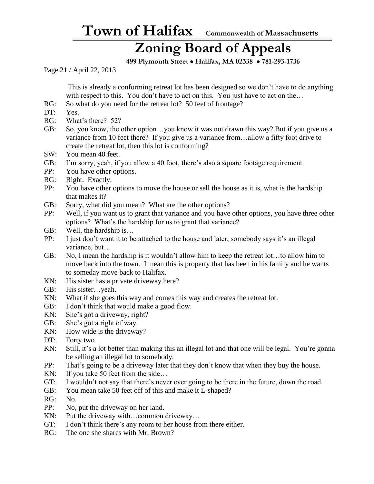### **Zoning Board of Appeals**

 **499 Plymouth Street** • **Halifax, MA 02338** • **781-293-1736**

Page 21 / April 22, 2013

This is already a conforming retreat lot has been designed so we don't have to do anything with respect to this. You don't have to act on this. You just have to act on the...

- RG: So what do you need for the retreat lot? 50 feet of frontage?
- DT: Yes.
- RG: What's there? 52?
- GB: So, you know, the other option…you know it was not drawn this way? But if you give us a variance from 10 feet there? If you give us a variance from…allow a fifty foot drive to create the retreat lot, then this lot is conforming?
- SW: You mean 40 feet.
- GB: I'm sorry, yeah, if you allow a 40 foot, there's also a square footage requirement.
- PP: You have other options.
- RG: Right. Exactly.
- PP: You have other options to move the house or sell the house as it is, what is the hardship that makes it?
- GB: Sorry, what did you mean? What are the other options?
- PP: Well, if you want us to grant that variance and you have other options, you have three other options? What's the hardship for us to grant that variance?
- GB: Well, the hardship is…
- PP: I just don't want it to be attached to the house and later, somebody says it's an illegal variance, but…
- GB: No, I mean the hardship is it wouldn't allow him to keep the retreat lot…to allow him to move back into the town. I mean this is property that has been in his family and he wants to someday move back to Halifax.
- KN: His sister has a private driveway here?
- GB: His sister…yeah.
- KN: What if she goes this way and comes this way and creates the retreat lot.
- GB: I don't think that would make a good flow.
- KN: She's got a driveway, right?
- GB: She's got a right of way.
- KN: How wide is the driveway?
- DT: Forty two
- KN: Still, it's a lot better than making this an illegal lot and that one will be legal. You're gonna be selling an illegal lot to somebody.
- PP: That's going to be a driveway later that they don't know that when they buy the house.
- KN: If you take 50 feet from the side...
- GT: I wouldn't not say that there's never ever going to be there in the future, down the road.
- GB: You mean take 50 feet off of this and make it L-shaped?
- RG: No.
- PP: No, put the driveway on her land.
- KN: Put the driveway with...common driveway...
- GT: I don't think there's any room to her house from there either.
- RG: The one she shares with Mr. Brown?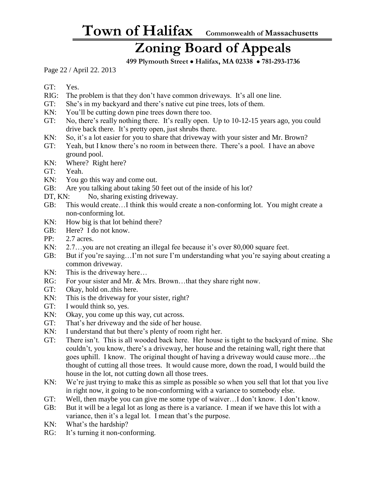### **Zoning Board of Appeals**

 **499 Plymouth Street** • **Halifax, MA 02338** • **781-293-1736**

Page 22 / April 22. 2013

GT: Yes.

- RIG: The problem is that they don't have common driveways. It's all one line.
- GT: She's in my backyard and there's native cut pine trees, lots of them.
- KN: You'll be cutting down pine trees down there too.
- GT: No, there's really nothing there. It's really open. Up to 10-12-15 years ago, you could drive back there. It's pretty open, just shrubs there.
- KN: So, it's a lot easier for you to share that driveway with your sister and Mr. Brown?
- GT: Yeah, but I know there's no room in between there. There's a pool. I have an above ground pool.
- KN: Where? Right here?
- GT: Yeah.
- KN: You go this way and come out.
- GB: Are you talking about taking 50 feet out of the inside of his lot?
- DT, KN: No, sharing existing driveway.
- GB: This would create…I think this would create a non-conforming lot. You might create a non-conforming lot.
- KN: How big is that lot behind there?
- GB: Here? I do not know.
- PP: 2.7 acres.
- KN: 2.7...you are not creating an illegal fee because it's over 80,000 square feet.
- GB: But if you're saying…I'm not sure I'm understanding what you're saying about creating a common driveway.
- KN: This is the driveway here...
- RG: For your sister and Mr. & Mrs. Brown...that they share right now.
- GT: Okay, hold on..this here.
- KN: This is the driveway for your sister, right?
- GT: I would think so, yes.
- KN: Okay, you come up this way, cut across.
- GT: That's her driveway and the side of her house.
- KN: I understand that but there's plenty of room right her.
- GT: There isn't. This is all wooded back here. Her house is tight to the backyard of mine. She couldn't, you know, there's a driveway, her house and the retaining wall, right there that goes uphill. I know. The original thought of having a driveway would cause more…the thought of cutting all those trees. It would cause more, down the road, I would build the house in the lot, not cutting down all those trees.
- KN: We're just trying to make this as simple as possible so when you sell that lot that you live in right now, it going to be non-conforming with a variance to somebody else.
- GT: Well, then maybe you can give me some type of waiver…I don't know. I don't know.
- GB: But it will be a legal lot as long as there is a variance. I mean if we have this lot with a variance, then it's a legal lot. I mean that's the purpose.
- KN: What's the hardship?
- RG: It's turning it non-conforming.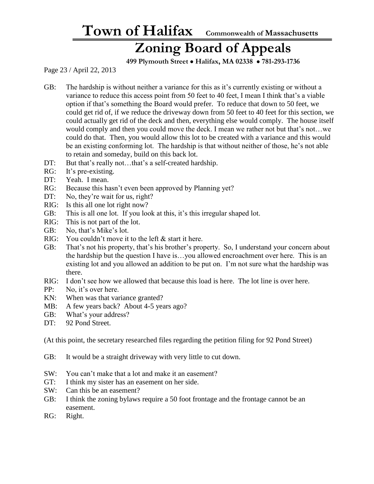#### **Zoning Board of Appeals**

 **499 Plymouth Street** • **Halifax, MA 02338** • **781-293-1736**

Page 23 / April 22, 2013

- GB: The hardship is without neither a variance for this as it's currently existing or without a variance to reduce this access point from 50 feet to 40 feet, I mean I think that's a viable option if that's something the Board would prefer. To reduce that down to 50 feet, we could get rid of, if we reduce the driveway down from 50 feet to 40 feet for this section, we could actually get rid of the deck and then, everything else would comply. The house itself would comply and then you could move the deck. I mean we rather not but that's not…we could do that. Then, you would allow this lot to be created with a variance and this would be an existing conforming lot. The hardship is that without neither of those, he's not able to retain and someday, build on this back lot.
- DT: But that's really not...that's a self-created hardship.
- RG: It's pre-existing.
- DT: Yeah. I mean.
- RG: Because this hasn't even been approved by Planning yet?
- DT: No, they're wait for us, right?
- RIG: Is this all one lot right now?
- GB: This is all one lot. If you look at this, it's this irregular shaped lot.
- RIG: This is not part of the lot.
- GB: No, that's Mike's lot.
- RIG: You couldn't move it to the left & start it here.
- GB: That's not his property, that's his brother's property. So, I understand your concern about the hardship but the question I have is…you allowed encroachment over here. This is an existing lot and you allowed an addition to be put on. I'm not sure what the hardship was there.
- RIG: I don't see how we allowed that because this load is here. The lot line is over here.
- PP: No, it's over here.
- KN: When was that variance granted?
- MB: A few years back? About 4-5 years ago?
- GB: What's your address?
- DT: 92 Pond Street.

(At this point, the secretary researched files regarding the petition filing for 92 Pond Street)

- GB: It would be a straight driveway with very little to cut down.
- SW: You can't make that a lot and make it an easement?
- GT: I think my sister has an easement on her side.
- SW: Can this be an easement?
- GB: I think the zoning bylaws require a 50 foot frontage and the frontage cannot be an easement.
- RG: Right.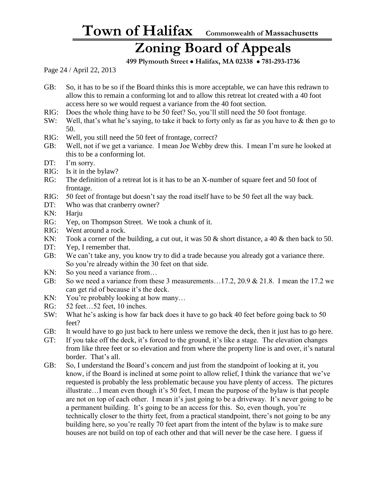#### **Zoning Board of Appeals**

 **499 Plymouth Street** • **Halifax, MA 02338** • **781-293-1736**

Page 24 / April 22, 2013

- GB: So, it has to be so if the Board thinks this is more acceptable, we can have this redrawn to allow this to remain a conforming lot and to allow this retreat lot created with a 40 foot access here so we would request a variance from the 40 foot section.
- RIG: Does the whole thing have to be 50 feet? So, you'll still need the 50 foot frontage.
- SW: Well, that's what he's saying, to take it back to forty only as far as you have to & then go to 50.
- RIG: Well, you still need the 50 feet of frontage, correct?
- GB: Well, not if we get a variance. I mean Joe Webby drew this. I mean I'm sure he looked at this to be a conforming lot.
- DT: I'm sorry.
- RIG: Is it in the bylaw?
- RG: The definition of a retreat lot is it has to be an X-number of square feet and 50 foot of frontage.
- RIG: 50 feet of frontage but doesn't say the road itself have to be 50 feet all the way back.
- DT: Who was that cranberry owner?
- KN: Harju
- RG: Yep, on Thompson Street. We took a chunk of it.
- RIG: Went around a rock.
- KN: Took a corner of the building, a cut out, it was 50  $\&$  short distance, a 40  $\&$  then back to 50.
- DT: Yep, I remember that.
- GB: We can't take any, you know try to did a trade because you already got a variance there. So you're already within the 30 feet on that side.
- KN: So you need a variance from...
- GB: So we need a variance from these 3 measurements...17.2, 20.9 & 21.8. I mean the 17.2 we can get rid of because it's the deck.
- KN: You're probably looking at how many...
- RG: 52 feet…52 feet, 10 inches.
- SW: What he's asking is how far back does it have to go back 40 feet before going back to 50 feet?
- GB: It would have to go just back to here unless we remove the deck, then it just has to go here.
- GT: If you take off the deck, it's forced to the ground, it's like a stage. The elevation changes from like three feet or so elevation and from where the property line is and over, it's natural border. That's all.
- GB: So, I understand the Board's concern and just from the standpoint of looking at it, you know, if the Board is inclined at some point to allow relief, I think the variance that we've requested is probably the less problematic because you have plenty of access. The pictures illustrate…I mean even though it's 50 feet, I mean the purpose of the bylaw is that people are not on top of each other. I mean it's just going to be a driveway. It's never going to be a permanent building. It's going to be an access for this. So, even though, you're technically closer to the thirty feet, from a practical standpoint, there's not going to be any building here, so you're really 70 feet apart from the intent of the bylaw is to make sure houses are not build on top of each other and that will never be the case here. I guess if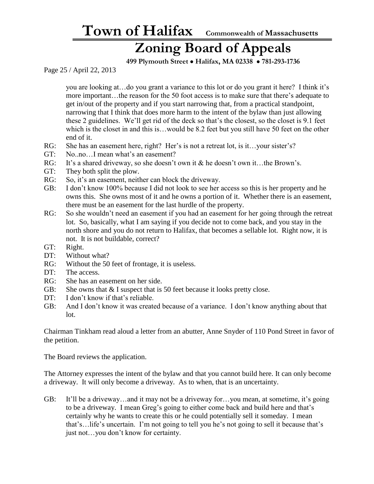#### **Zoning Board of Appeals**

 **499 Plymouth Street** • **Halifax, MA 02338** • **781-293-1736**

Page 25 / April 22, 2013

you are looking at…do you grant a variance to this lot or do you grant it here? I think it's more important…the reason for the 50 foot access is to make sure that there's adequate to get in/out of the property and if you start narrowing that, from a practical standpoint, narrowing that I think that does more harm to the intent of the bylaw than just allowing these 2 guidelines. We'll get rid of the deck so that's the closest, so the closet is 9.1 feet which is the closet in and this is…would be 8.2 feet but you still have 50 feet on the other end of it.

- RG: She has an easement here, right? Her's is not a retreat lot, is it...your sister's?
- GT: No..no…I mean what's an easement?
- RG: It's a shared driveway, so she doesn't own it & he doesn't own it...the Brown's.
- GT: They both split the plow.
- RG: So, it's an easement, neither can block the driveway.
- GB: I don't know 100% because I did not look to see her access so this is her property and he owns this. She owns most of it and he owns a portion of it. Whether there is an easement, there must be an easement for the last hurdle of the property.
- RG: So she wouldn't need an easement if you had an easement for her going through the retreat lot. So, basically, what I am saying if you decide not to come back, and you stay in the north shore and you do not return to Halifax, that becomes a sellable lot. Right now, it is not. It is not buildable, correct?
- GT: Right.
- DT: Without what?
- RG: Without the 50 feet of frontage, it is useless.
- DT: The access.
- RG: She has an easement on her side.
- GB: She owns that  $& I$  suspect that is 50 feet because it looks pretty close.
- DT: I don't know if that's reliable.
- GB: And I don't know it was created because of a variance. I don't know anything about that lot.

Chairman Tinkham read aloud a letter from an abutter, Anne Snyder of 110 Pond Street in favor of the petition.

The Board reviews the application.

The Attorney expresses the intent of the bylaw and that you cannot build here. It can only become a driveway. It will only become a driveway. As to when, that is an uncertainty.

GB: It'll be a driveway…and it may not be a driveway for…you mean, at sometime, it's going to be a driveway. I mean Greg's going to either come back and build here and that's certainly why he wants to create this or he could potentially sell it someday. I mean that's…life's uncertain. I'm not going to tell you he's not going to sell it because that's just not…you don't know for certainty.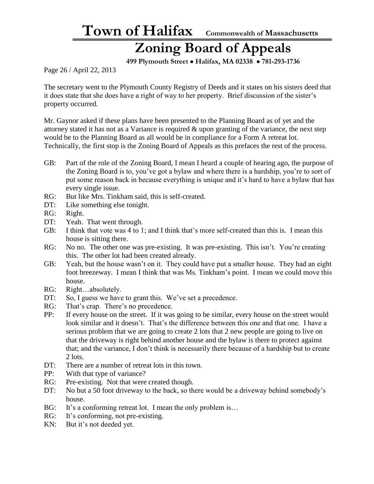### **Zoning Board of Appeals**

 **499 Plymouth Street** • **Halifax, MA 02338** • **781-293-1736**

Page 26 / April 22, 2013

The secretary went to the Plymouth County Registry of Deeds and it states on his sisters deed that it does state that she does have a right of way to her property. Brief discussion of the sister's property occurred.

Mr. Gaynor asked if these plans have been presented to the Planning Board as of yet and the attorney stated it has not as a Variance is required & upon granting of the variance, the next step would be to the Planning Board as all would be in compliance for a Form A retreat lot. Technically, the first stop is the Zoning Board of Appeals as this prefaces the rest of the process.

- GB: Part of the role of the Zoning Board, I mean I heard a couple of hearing ago, the purpose of the Zoning Board is to, you've got a bylaw and where there is a hardship, you're to sort of put some reason back in because everything is unique and it's hard to have a bylaw that has every single issue.
- RG: But like Mrs. Tinkham said, this is self-created.
- DT: Like something else tonight.
- RG: Right.
- DT: Yeah. That went through.
- GB: I think that vote was 4 to 1; and I think that's more self-created than this is. I mean this house is sitting there.
- RG: No no. The other one was pre-existing. It was pre-existing. This isn't. You're creating this. The other lot had been created already.
- GB: Yeah, but the house wasn't on it. They could have put a smaller house. They had an eight foot breezeway. I mean I think that was Ms. Tinkham's point. I mean we could move this house.
- RG: Right…absolutely.
- DT: So, I guess we have to grant this. We've set a precedence.
- RG: That's crap. There's no precedence.
- PP: If every house on the street. If it was going to be similar, every house on the street would look similar and it doesn't. That's the difference between this one and that one. I have a serious problem that we are going to create 2 lots that 2 new people are going to live on that the driveway is right behind another house and the bylaw is there to protect against that; and the variance, I don't think is necessarily there because of a hardship but to create 2 lots.
- DT: There are a number of retreat lots in this town.
- PP: With that type of variance?
- RG: Pre-existing. Not that were created though.
- DT: No but a 50 foot driveway to the back, so there would be a driveway behind somebody's house.
- BG: It's a conforming retreat lot. I mean the only problem is...
- RG: It's conforming, not pre-existing.
- KN: But it's not deeded yet.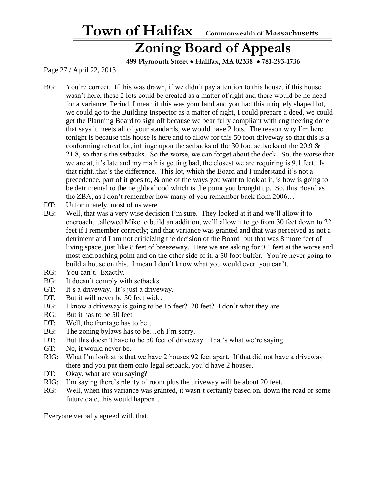**Zoning Board of Appeals**

 **499 Plymouth Street** • **Halifax, MA 02338** • **781-293-1736**

Page 27 / April 22, 2013

- BG: You're correct. If this was drawn, if we didn't pay attention to this house, if this house wasn't here, these 2 lots could be created as a matter of right and there would be no need for a variance. Period, I mean if this was your land and you had this uniquely shaped lot, we could go to the Building Inspector as a matter of right, I could prepare a deed, we could get the Planning Board to sign off because we bear fully compliant with engineering done that says it meets all of your standards, we would have 2 lots. The reason why I'm here tonight is because this house is here and to allow for this 50 foot driveway so that this is a conforming retreat lot, infringe upon the setbacks of the 30 foot setbacks of the 20.9  $\&$ 21.8, so that's the setbacks. So the worse, we can forget about the deck. So, the worse that we are at, it's late and my math is getting bad, the closest we are requiring is 9.1 feet. Is that right..that's the difference. This lot, which the Board and I understand it's not a precedence, part of it goes to, & one of the ways you want to look at it, is how is going to be detrimental to the neighborhood which is the point you brought up. So, this Board as the ZBA, as I don't remember how many of you remember back from 2006…
- DT: Unfortunately, most of us were.
- BG: Well, that was a very wise decision I'm sure. They looked at it and we'll allow it to encroach…allowed Mike to build an addition, we'll allow it to go from 30 feet down to 22 feet if I remember correctly; and that variance was granted and that was perceived as not a detriment and I am not criticizing the decision of the Board but that was 8 more feet of living space, just like 8 feet of breezeway. Here we are asking for 9.1 feet at the worse and most encroaching point and on the other side of it, a 50 foot buffer. You're never going to build a house on this. I mean I don't know what you would ever..you can't.
- RG: You can't. Exactly.
- BG: It doesn't comply with setbacks.
- GT: It's a driveway. It's just a driveway.
- DT: But it will never be 50 feet wide.
- BG: I know a driveway is going to be 15 feet? 20 feet? I don't what they are.
- RG: But it has to be 50 feet.
- DT: Well, the frontage has to be...
- BG: The zoning bylaws has to be...oh I'm sorry.
- DT: But this doesn't have to be 50 feet of driveway. That's what we're saying.
- GT: No, it would never be.
- RIG: What I'm look at is that we have 2 houses 92 feet apart. If that did not have a driveway there and you put them onto legal setback, you'd have 2 houses.
- DT: Okay, what are you saying?
- RIG: I'm saying there's plenty of room plus the driveway will be about 20 feet.
- RG: Well, when this variance was granted, it wasn't certainly based on, down the road or some future date, this would happen…

Everyone verbally agreed with that.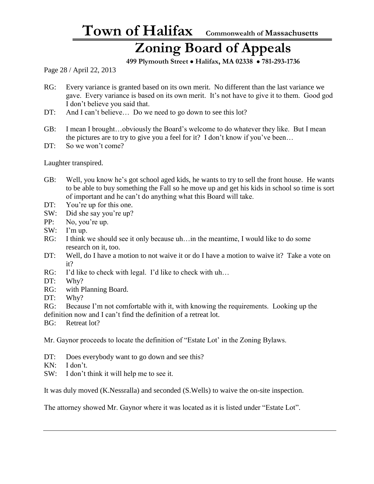### **Zoning Board of Appeals**

 **499 Plymouth Street** • **Halifax, MA 02338** • **781-293-1736**

Page 28 / April 22, 2013

- RG: Every variance is granted based on its own merit. No different than the last variance we gave. Every variance is based on its own merit. It's not have to give it to them. Good god I don't believe you said that.
- DT: And I can't believe... Do we need to go down to see this lot?
- GB: I mean I brought…obviously the Board's welcome to do whatever they like. But I mean the pictures are to try to give you a feel for it? I don't know if you've been…
- DT: So we won't come?

Laughter transpired.

- GB: Well, you know he's got school aged kids, he wants to try to sell the front house. He wants to be able to buy something the Fall so he move up and get his kids in school so time is sort of important and he can't do anything what this Board will take.
- DT: You're up for this one.
- SW: Did she say you're up?
- PP: No, you're up.
- SW: I'm up.
- RG: I think we should see it only because uh... in the meantime, I would like to do some research on it, too.
- DT: Well, do I have a motion to not waive it or do I have a motion to waive it? Take a vote on it?
- RG: I'd like to check with legal. I'd like to check with uh...
- DT: Why?
- RG: with Planning Board.
- DT: Why?
- RG: Because I'm not comfortable with it, with knowing the requirements. Looking up the definition now and I can't find the definition of a retreat lot.
- BG: Retreat lot?

Mr. Gaynor proceeds to locate the definition of "Estate Lot' in the Zoning Bylaws.

- DT: Does everybody want to go down and see this?
- KN: I don't.
- SW: I don't think it will help me to see it.

It was duly moved (K.Nessralla) and seconded (S.Wells) to waive the on-site inspection.

The attorney showed Mr. Gaynor where it was located as it is listed under "Estate Lot".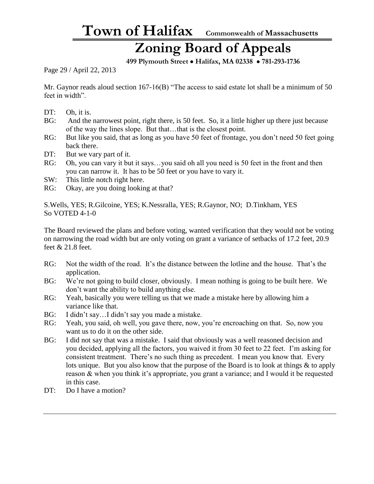### **Zoning Board of Appeals**

 **499 Plymouth Street** • **Halifax, MA 02338** • **781-293-1736**

Page 29 / April 22, 2013

Mr. Gaynor reads aloud section 167-16(B) "The access to said estate lot shall be a minimum of 50 feet in width".

- DT: Oh, it is.
- BG: And the narrowest point, right there, is 50 feet. So, it a little higher up there just because of the way the lines slope. But that…that is the closest point.
- RG: But like you said, that as long as you have 50 feet of frontage, you don't need 50 feet going back there.
- DT: But we vary part of it.
- RG: Oh, you can vary it but it says...you said oh all you need is 50 feet in the front and then you can narrow it. It has to be 50 feet or you have to vary it.
- SW: This little notch right here.
- RG: Okay, are you doing looking at that?

S.Wells, YES; R.Gilcoine, YES; K.Nessralla, YES; R.Gaynor, NO; D.Tinkham, YES So VOTED 4-1-0

The Board reviewed the plans and before voting, wanted verification that they would not be voting on narrowing the road width but are only voting on grant a variance of setbacks of 17.2 feet, 20.9 feet & 21.8 feet.

- RG: Not the width of the road. It's the distance between the lotline and the house. That's the application.
- BG: We're not going to build closer, obviously. I mean nothing is going to be built here. We don't want the ability to build anything else.
- RG: Yeah, basically you were telling us that we made a mistake here by allowing him a variance like that.
- BG: I didn't say…I didn't say you made a mistake.
- RG: Yeah, you said, oh well, you gave there, now, you're encroaching on that. So, now you want us to do it on the other side.
- BG: I did not say that was a mistake. I said that obviously was a well reasoned decision and you decided, applying all the factors, you waived it from 30 feet to 22 feet. I'm asking for consistent treatment. There's no such thing as precedent. I mean you know that. Every lots unique. But you also know that the purpose of the Board is to look at things & to apply reason & when you think it's appropriate, you grant a variance; and I would it be requested in this case.
- DT: Do I have a motion?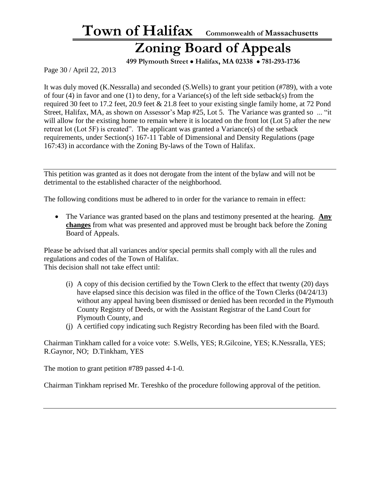#### **Zoning Board of Appeals**

 **499 Plymouth Street** • **Halifax, MA 02338** • **781-293-1736**

Page 30 / April 22, 2013

It was duly moved (K.Nessralla) and seconded (S.Wells) to grant your petition (#789), with a vote of four (4) in favor and one (1) to deny, for a Variance(s) of the left side setback(s) from the required 30 feet to 17.2 feet, 20.9 feet & 21.8 feet to your existing single family home, at 72 Pond Street, Halifax, MA, as shown on Assessor's Map #25, Lot 5. The Variance was granted so ... "it will allow for the existing home to remain where it is located on the front lot (Lot 5) after the new retreat lot (Lot 5F) is created". The applicant was granted a Variance(s) of the setback requirements, under Section(s) 167-11 Table of Dimensional and Density Regulations (page 167:43) in accordance with the Zoning By-laws of the Town of Halifax.

This petition was granted as it does not derogate from the intent of the bylaw and will not be detrimental to the established character of the neighborhood.

The following conditions must be adhered to in order for the variance to remain in effect:

• The Variance was granted based on the plans and testimony presented at the hearing. **Any changes** from what was presented and approved must be brought back before the Zoning Board of Appeals.

Please be advised that all variances and/or special permits shall comply with all the rules and regulations and codes of the Town of Halifax. This decision shall not take effect until:

- (i) A copy of this decision certified by the Town Clerk to the effect that twenty (20) days have elapsed since this decision was filed in the office of the Town Clerks (04/24/13) without any appeal having been dismissed or denied has been recorded in the Plymouth County Registry of Deeds, or with the Assistant Registrar of the Land Court for Plymouth County, and
- (j) A certified copy indicating such Registry Recording has been filed with the Board.

Chairman Tinkham called for a voice vote: S.Wells, YES; R.Gilcoine, YES; K.Nessralla, YES; R.Gaynor, NO; D.Tinkham, YES

The motion to grant petition #789 passed 4-1-0.

Chairman Tinkham reprised Mr. Tereshko of the procedure following approval of the petition.